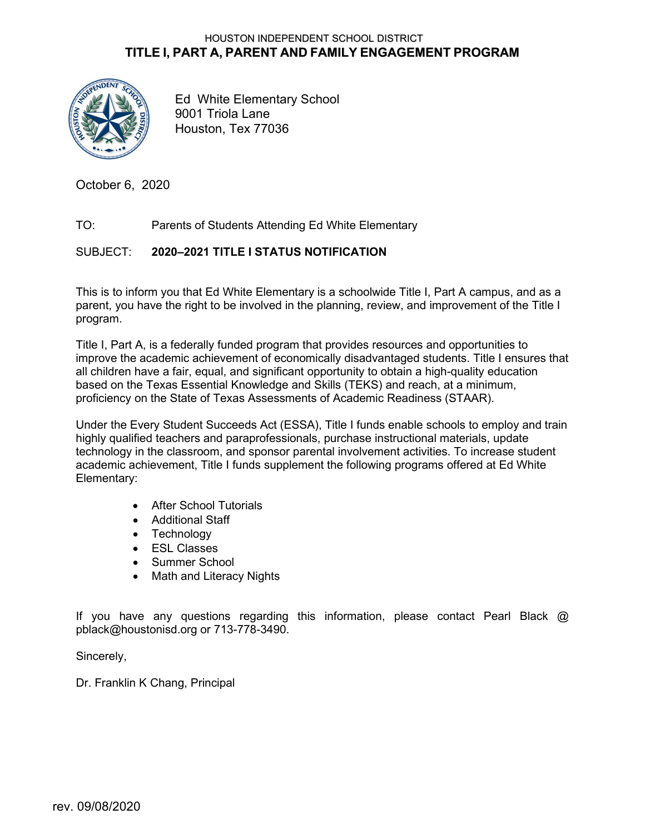#### HOUSTON INDEPENDENT SCHOOL DISTRICT **TITLE I, PART A, PARENT AND FAMILY ENGAGEMENT PROGRAM**



Ed White Elementary School 9001 Triola Lane Houston, Tex 77036

October 6, 2020

#### TO: Parents of Students Attending Ed White Elementary

#### SUBJECT: **2020–2021 TITLE I STATUS NOTIFICATION**

This is to inform you that Ed White Elementary is a schoolwide Title I, Part A campus, and as a parent, you have the right to be involved in the planning, review, and improvement of the Title I program.

Title I, Part A, is a federally funded program that provides resources and opportunities to improve the academic achievement of economically disadvantaged students. Title I ensures that all children have a fair, equal, and significant opportunity to obtain a high-quality education based on the Texas Essential Knowledge and Skills (TEKS) and reach, at a minimum, proficiency on the State of Texas Assessments of Academic Readiness (STAAR).

Under the Every Student Succeeds Act (ESSA), Title I funds enable schools to employ and train highly qualified teachers and paraprofessionals, purchase instructional materials, update technology in the classroom, and sponsor parental involvement activities. To increase student academic achievement, Title I funds supplement the following programs offered at Ed White Elementary:

- After School Tutorials
- Additional Staff
- Technology
- ESL Classes
- Summer School
- Math and Literacy Nights

If you have any questions regarding this information, please contact Pearl Black  $@$ pblack@houstonisd.org or 713-778-3490.

Sincerely,

Dr. Franklin K Chang, Principal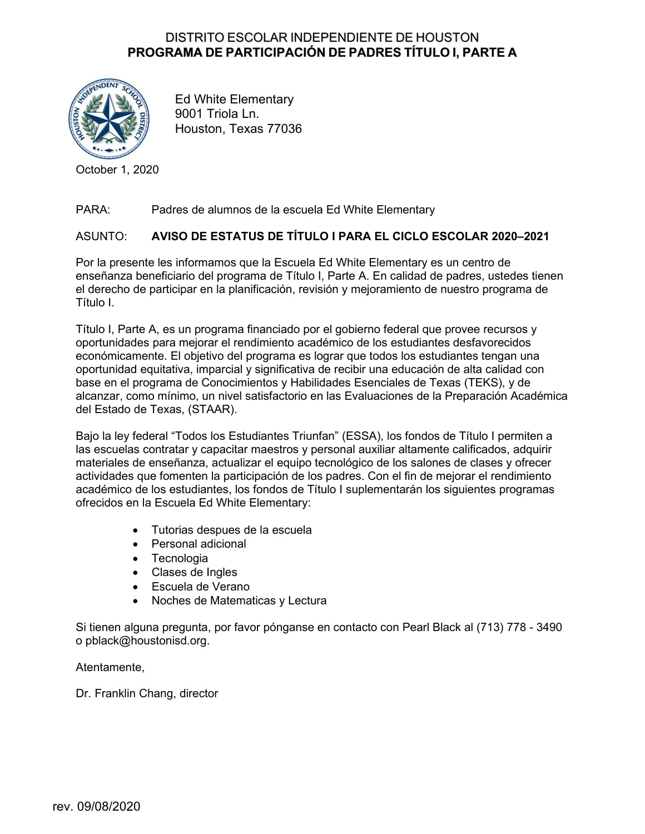## DISTRITO ESCOLAR INDEPENDIENTE DE HOUSTON **PROGRAMA DE PARTICIPACIÓN DE PADRES TÍTULO I, PARTE A**



Ed White Elementary 9001 Triola Ln. Houston, Texas 77036

October 1, 2020

### PARA: Padres de alumnos de la escuela Ed White Elementary

#### ASUNTO: **AVISO DE ESTATUS DE TÍTULO I PARA EL CICLO ESCOLAR 2020–2021**

Por la presente les informamos que la Escuela Ed White Elementary es un centro de enseñanza beneficiario del programa de Título I, Parte A. En calidad de padres, ustedes tienen el derecho de participar en la planificación, revisión y mejoramiento de nuestro programa de Título I.

Título I, Parte A, es un programa financiado por el gobierno federal que provee recursos y oportunidades para mejorar el rendimiento académico de los estudiantes desfavorecidos económicamente. El objetivo del programa es lograr que todos los estudiantes tengan una oportunidad equitativa, imparcial y significativa de recibir una educación de alta calidad con base en el programa de Conocimientos y Habilidades Esenciales de Texas (TEKS), y de alcanzar, como mínimo, un nivel satisfactorio en las Evaluaciones de la Preparación Académica del Estado de Texas, (STAAR).

Bajo la ley federal "Todos los Estudiantes Triunfan" (ESSA), los fondos de Título I permiten a las escuelas contratar y capacitar maestros y personal auxiliar altamente calificados, adquirir materiales de enseñanza, actualizar el equipo tecnológico de los salones de clases y ofrecer actividades que fomenten la participación de los padres. Con el fin de mejorar el rendimiento académico de los estudiantes, los fondos de Título I suplementarán los siguientes programas ofrecidos en la Escuela Ed White Elementary:

- Tutorias despues de la escuela
- Personal adicional
- Tecnologia
- Clases de Ingles
- Escuela de Verano
- Noches de Matematicas y Lectura

Si tienen alguna pregunta, por favor pónganse en contacto con Pearl Black al (713) 778 - 3490 o pblack@houstonisd.org.

Atentamente,

Dr. Franklin Chang, director